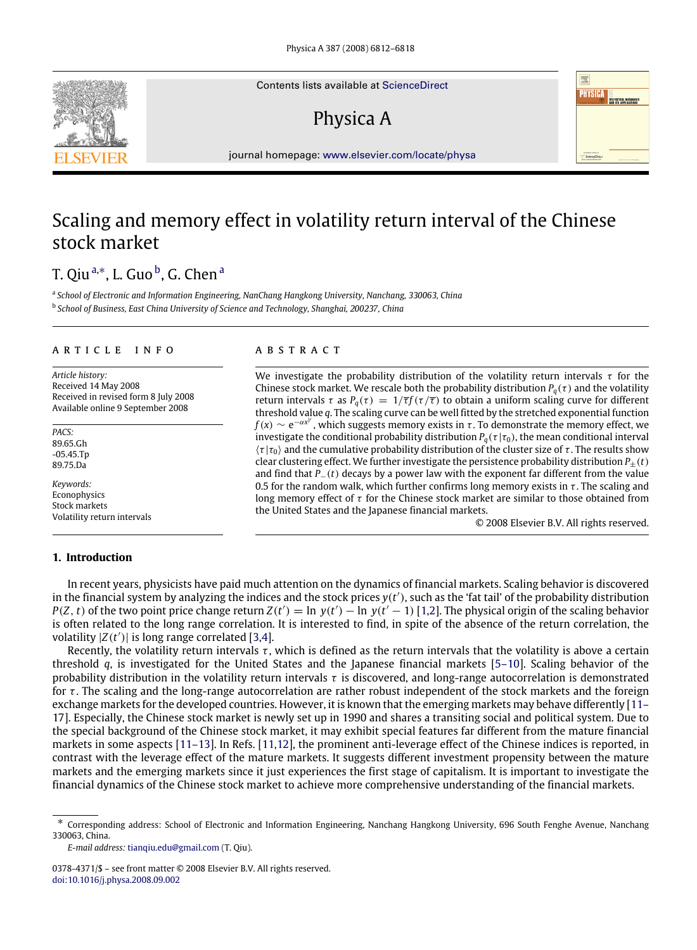Contents lists available at [ScienceDirect](http://www.elsevier.com/locate/physa)

## Physica A



journal homepage: [www.elsevier.com/locate/physa](http://www.elsevier.com/locate/physa)

## Scaling and memory effect in volatility return interval of the Chinese stock market

## T. Qiuª,\*, L. Guo <sup>[b](#page-0-2)</sup>, G. Chen ª

<span id="page-0-2"></span><span id="page-0-0"></span>a *School of Electronic and Information Engineering, NanChang Hangkong University, Nanchang, 330063, China* b *School of Business, East China University of Science and Technology, Shanghai, 200237, China*

#### a r t i c l e i n f o

*Article history:* Received 14 May 2008 Received in revised form 8 July 2008 Available online 9 September 2008

*PACS:* 89.65.Gh -05.45.Tp 89.75.Da

*Keywords:* Econophysics Stock markets Volatility return intervals

a b s t r a c t

We investigate the probability distribution of the volatility return intervals  $\tau$  for the Chinese stock market. We rescale both the probability distribution  $P_q(\tau)$  and the volatility return intervals τ as  $P_q(\tau) = 1/\overline{\tau} f(\tau/\overline{\tau})$  to obtain a uniform scaling curve for different threshold value *q*. The scaling curve can be well fitted by the stretched exponential function  $f(x) \sim e^{-\alpha x^{\gamma}}$ , which suggests memory exists in  $\tau$ . To demonstrate the memory effect, we investigate the conditional probability distribution  $P_q(\tau | \tau_0)$ , the mean conditional interval  $\langle \tau | \tau_0 \rangle$  and the cumulative probability distribution of the cluster size of  $\tau$ . The results show clear clustering effect. We further investigate the persistence probability distribution  $P_+(t)$ and find that *P*−(*t*) decays by a power law with the exponent far different from the value 0.5 for the random walk, which further confirms long memory exists in  $\tau$ . The scaling and long memory effect of  $\tau$  for the Chinese stock market are similar to those obtained from the United States and the Japanese financial markets.

© 2008 Elsevier B.V. All rights reserved.

### **1. Introduction**

In recent years, physicists have paid much attention on the dynamics of financial markets. Scaling behavior is discovered in the financial system by analyzing the indices and the stock prices  $y(t')$ , such as the 'fat tail' of the probability distribution  $P(Z, t)$  of the two point price change return  $Z(t') = \ln y(t') - \ln y(t'-1)$  [\[1](#page--1-0)[,2\]](#page--1-1). The physical origin of the scaling behavior is often related to the long range correlation. It is interested to find, in spite of the absence of the return correlation, the volatility  $|Z(t')|$  is long range correlated [\[3](#page--1-2)[,4\]](#page--1-3).

Recently, the volatility return intervals  $\tau$ , which is defined as the return intervals that the volatility is above a certain threshold *q*, is investigated for the United States and the Japanese financial markets [\[5–10\]](#page--1-4). Scaling behavior of the probability distribution in the volatility return intervals  $\tau$  is discovered, and long-range autocorrelation is demonstrated for  $\tau$ . The scaling and the long-range autocorrelation are rather robust independent of the stock markets and the foreign [e](#page--1-5)xchange markets for the developed countries. However, it is known that the emerging markets may behave differently [\[11–](#page--1-5) [17\]](#page--1-5). Especially, the Chinese stock market is newly set up in 1990 and shares a transiting social and political system. Due to the special background of the Chinese stock market, it may exhibit special features far different from the mature financial markets in some aspects [\[11–13\]](#page--1-5). In Refs. [\[11](#page--1-5)[,12\]](#page--1-6), the prominent anti-leverage effect of the Chinese indices is reported, in contrast with the leverage effect of the mature markets. It suggests different investment propensity between the mature markets and the emerging markets since it just experiences the first stage of capitalism. It is important to investigate the financial dynamics of the Chinese stock market to achieve more comprehensive understanding of the financial markets.



<span id="page-0-1"></span><sup>∗</sup> Corresponding address: School of Electronic and Information Engineering, Nanchang Hangkong University, 696 South Fenghe Avenue, Nanchang 330063, China.

*E-mail address:* [tianqiu.edu@gmail.com](mailto:tianqiu.edu@gmail.com) (T. Qiu).

<sup>0378-4371/\$ –</sup> see front matter © 2008 Elsevier B.V. All rights reserved. [doi:10.1016/j.physa.2008.09.002](http://dx.doi.org/10.1016/j.physa.2008.09.002)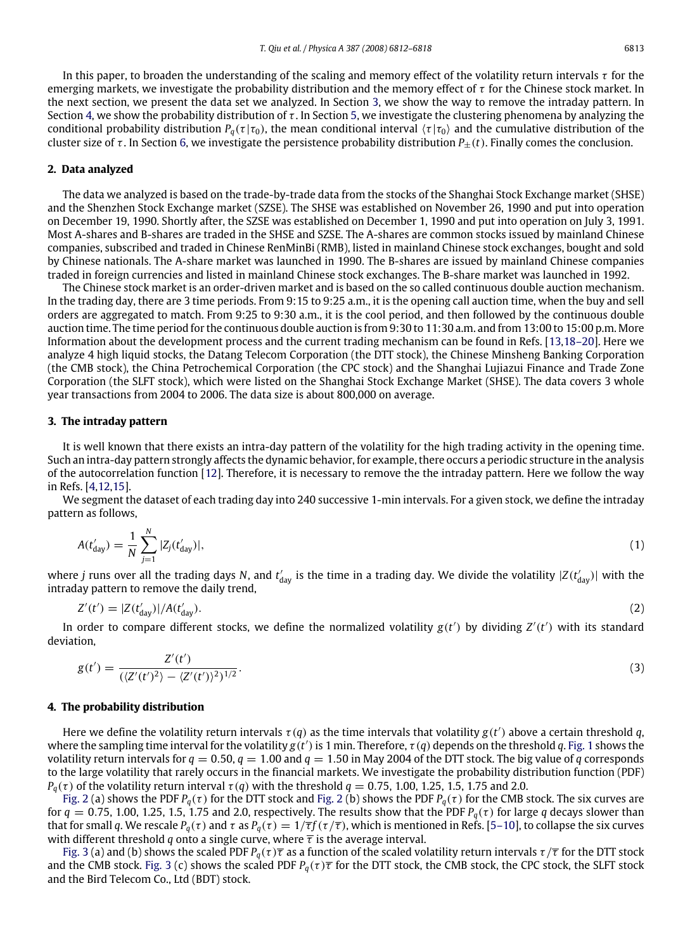In this paper, to broaden the understanding of the scaling and memory effect of the volatility return intervals  $\tau$  for the emerging markets, we investigate the probability distribution and the memory effect of  $\tau$  for the Chinese stock market. In the next section, we present the data set we analyzed. In Section [3,](#page-1-0) we show the way to remove the intraday pattern. In Section [4,](#page-1-1) we show the probability distribution of  $\tau$ . In Section [5,](#page--1-7) we investigate the clustering phenomena by analyzing the conditional probability distribution  $P_q(\tau | \tau_0)$ , the mean conditional interval  $\langle \tau | \tau_0 \rangle$  and the cumulative distribution of the cluster size of  $\tau$ . In Section [6,](#page--1-8) we investigate the persistence probability distribution  $P_{\pm}(t)$ . Finally comes the conclusion.

### **2. Data analyzed**

The data we analyzed is based on the trade-by-trade data from the stocks of the Shanghai Stock Exchange market (SHSE) and the Shenzhen Stock Exchange market (SZSE). The SHSE was established on November 26, 1990 and put into operation on December 19, 1990. Shortly after, the SZSE was established on December 1, 1990 and put into operation on July 3, 1991. Most A-shares and B-shares are traded in the SHSE and SZSE. The A-shares are common stocks issued by mainland Chinese companies, subscribed and traded in Chinese RenMinBi (RMB), listed in mainland Chinese stock exchanges, bought and sold by Chinese nationals. The A-share market was launched in 1990. The B-shares are issued by mainland Chinese companies traded in foreign currencies and listed in mainland Chinese stock exchanges. The B-share market was launched in 1992.

The Chinese stock market is an order-driven market and is based on the so called continuous double auction mechanism. In the trading day, there are 3 time periods. From 9:15 to 9:25 a.m., it is the opening call auction time, when the buy and sell orders are aggregated to match. From 9:25 to 9:30 a.m., it is the cool period, and then followed by the continuous double auction time. The time period for the continuous double auction is from 9:30 to 11:30 a.m. and from 13:00 to 15:00 p.m. More Information about the development process and the current trading mechanism can be found in Refs. [\[13](#page--1-9)[,18–20\]](#page--1-10). Here we analyze 4 high liquid stocks, the Datang Telecom Corporation (the DTT stock), the Chinese Minsheng Banking Corporation (the CMB stock), the China Petrochemical Corporation (the CPC stock) and the Shanghai Lujiazui Finance and Trade Zone Corporation (the SLFT stock), which were listed on the Shanghai Stock Exchange Market (SHSE). The data covers 3 whole year transactions from 2004 to 2006. The data size is about 800,000 on average.

#### <span id="page-1-0"></span>**3. The intraday pattern**

It is well known that there exists an intra-day pattern of the volatility for the high trading activity in the opening time. Such an intra-day pattern strongly affects the dynamic behavior, for example, there occurs a periodic structure in the analysis of the autocorrelation function [\[12\]](#page--1-6). Therefore, it is necessary to remove the the intraday pattern. Here we follow the way in Refs. [\[4](#page--1-3)[,12,](#page--1-6)[15\]](#page--1-11).

We segment the dataset of each trading day into 240 successive 1-min intervals. For a given stock, we define the intraday pattern as follows,

$$
A(t'_{\text{day}}) = \frac{1}{N} \sum_{j=1}^{N} |Z_j(t'_{\text{day}})|,\tag{1}
$$

where *j* runs over all the trading days *N*, and  $t'_{\text{day}}$  is the time in a trading day. We divide the volatility  $|Z(t'_{\text{day}})|$  with the intraday pattern to remove the daily trend,

$$
Z'(t') = |Z(t'_{\text{day}})| / A(t'_{\text{day}}). \tag{2}
$$

In order to compare different stocks, we define the normalized volatility  $g(t')$  by dividing  $Z'(t')$  with its standard deviation,

$$
g(t') = \frac{Z'(t')}{(\langle Z'(t')^2 \rangle - \langle Z'(t') \rangle^2)^{1/2}}.
$$
\n(3)

#### <span id="page-1-1"></span>**4. The probability distribution**

Here we define the volatility return intervals  $\tau(q)$  as the time intervals that volatility  $g(t')$  above a certain threshold q, where the sampling time interval for the volatility  $g(t')$  is 1 min. Therefore,  $\tau(q)$  depends on the threshold q. [Fig. 1](#page--1-12) shows the volatility return intervals for  $q = 0.50$ ,  $q = 1.00$  and  $q = 1.50$  in May 2004 of the DTT stock. The big value of q corresponds to the large volatility that rarely occurs in the financial markets. We investigate the probability distribution function (PDF) *P*<sub>*a*</sub>(τ)</sub> of the volatility return interval τ(*q*) with the threshold *q* = 0.75, 1.00, 1.25, 1.5, 1.75 and 2.0.

[Fig. 2](#page--1-13) (a) shows the PDF  $P_q(\tau)$  for the DTT stock and Fig. 2 (b) shows the PDF  $P_q(\tau)$  for the CMB stock. The six curves are for  $q = 0.75$ , 1.00, 1.25, 1.5, 1.75 and 2.0, respectively. The results show that the PDF  $P_q(\tau)$  for large q decays slower than that for small *q*. We rescale *P*<sub>*q*</sub>(τ) and τ as *P<sub><i>a*</sub>(τ) =  $1/\overline{\tau}f(\tau/\overline{\tau})$ , which is mentioned in Refs. [\[5–10\]](#page--1-4), to collapse the six curves with different threshold *q* onto a single curve, where  $\bar{\tau}$  is the average interval.

[Fig. 3](#page--1-14) (a) and (b) shows the scaled PDF  $P_q(\tau)\overline{\tau}$  as a function of the scaled volatility return intervals  $\tau/\overline{\tau}$  for the DTT stock and the CMB stock. [Fig. 3](#page--1-14) (c) shows the scaled PDF  $P_q(\tau)\overline{\tau}$  for the DTT stock, the CMB stock, the CPC stock, the SLFT stock and the Bird Telecom Co., Ltd (BDT) stock.